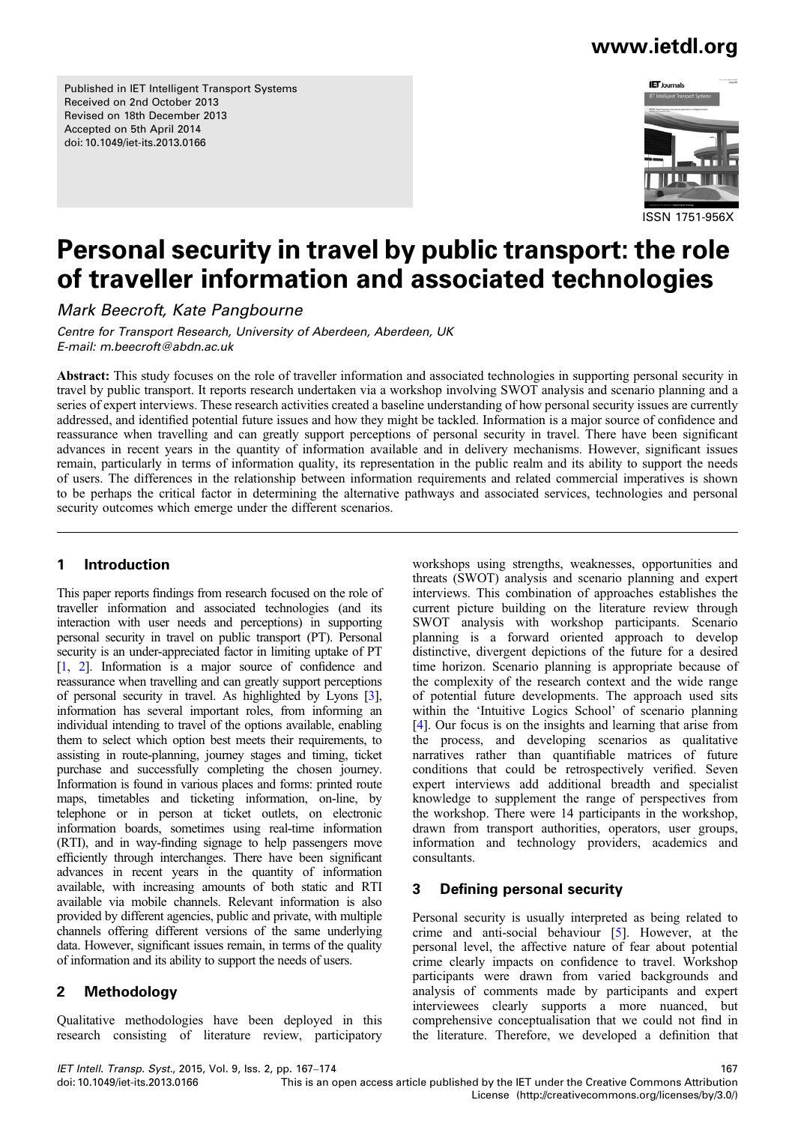Published in IET Intelligent Transport Systems Received on 2nd October 2013 Revised on 18th December 2013 Accepted on 5th April 2014 doi: 10.1049/iet-its.2013.0166



ISSN 1751-956X

# Personal security in travel by public transport: the role of traveller information and associated technologies

Mark Beecrof[t,](mailto:) [Kate](mailto:) [Pangbourne](mailto:)

Centre for Transport Research, University of Aberdeen, Aberdeen, UK E-mail: [m.beecroft@abdn.ac.uk](mailto:)

Abstract: This study focuses on the role of traveller information and associated technologies in supporting personal security in travel by public transport. It reports research undertaken via a workshop involving SWOT analysis and scenario planning and a series of expert interviews. These research activities created a baseline understanding of how personal security issues are currently addressed, and identified potential future issues and how they might be tackled. Information is a major source of confidence and reassurance when travelling and can greatly support perceptions of personal security in travel. There have been significant advances in recent years in the quantity of information available and in delivery mechanisms. However, significant issues remain, particularly in terms of information quality, its representation in the public realm and its ability to support the needs of users. The differences in the relationship between information requirements and related commercial imperatives is shown to be perhaps the critical factor in determining the alternative pathways and associated services, technologies and personal security outcomes which emerge under the different scenarios.

### 1 Introduction

This paper reports findings from research focused on the role of traveller information and associated technologies (and its interaction with user needs and perceptions) in supporting personal security in travel on public transport (PT). Personal security is an under-appreciated factor in limiting uptake of PT [[1](#page-7-0), [2\]](#page-7-0). Information is a major source of confidence and reassurance when travelling and can greatly support perceptions of personal security in travel. As highlighted by Lyons [\[3\]](#page-7-0), information has several important roles, from informing an individual intending to travel of the options available, enabling them to select which option best meets their requirements, to assisting in route-planning, journey stages and timing, ticket purchase and successfully completing the chosen journey. Information is found in various places and forms: printed route maps, timetables and ticketing information, on-line, by telephone or in person at ticket outlets, on electronic information boards, sometimes using real-time information (RTI), and in way-finding signage to help passengers move efficiently through interchanges. There have been significant advances in recent years in the quantity of information available, with increasing amounts of both static and RTI available via mobile channels. Relevant information is also provided by different agencies, public and private, with multiple channels offering different versions of the same underlying data. However, significant issues remain, in terms of the quality of information and its ability to support the needs of users.

## 2 Methodology

Qualitative methodologies have been deployed in this research consisting of literature review, participatory

workshops using strengths, weaknesses, opportunities and threats (SWOT) analysis and scenario planning and expert interviews. This combination of approaches establishes the current picture building on the literature review through SWOT analysis with workshop participants. Scenario planning is a forward oriented approach to develop distinctive, divergent depictions of the future for a desired time horizon. Scenario planning is appropriate because of the complexity of the research context and the wide range of potential future developments. The approach used sits within the 'Intuitive Logics School' of scenario planning [\[4](#page-7-0)]. Our focus is on the insights and learning that arise from the process, and developing scenarios as qualitative narratives rather than quantifiable matrices of future conditions that could be retrospectively verified. Seven expert interviews add additional breadth and specialist knowledge to supplement the range of perspectives from the workshop. There were 14 participants in the workshop, drawn from transport authorities, operators, user groups, information and technology providers, academics and consultants.

## 3 Defining personal security

Personal security is usually interpreted as being related to crime and anti-social behaviour [[5\]](#page-7-0). However, at the personal level, the affective nature of fear about potential crime clearly impacts on confidence to travel. Workshop participants were drawn from varied backgrounds and analysis of comments made by participants and expert interviewees clearly supports a more nuanced, but comprehensive conceptualisation that we could not find in the literature. Therefore, we developed a definition that

This is an open access article published by the IET under the Creative Commons Attribution License (http://creativecommons.org/licenses/by/3.0/)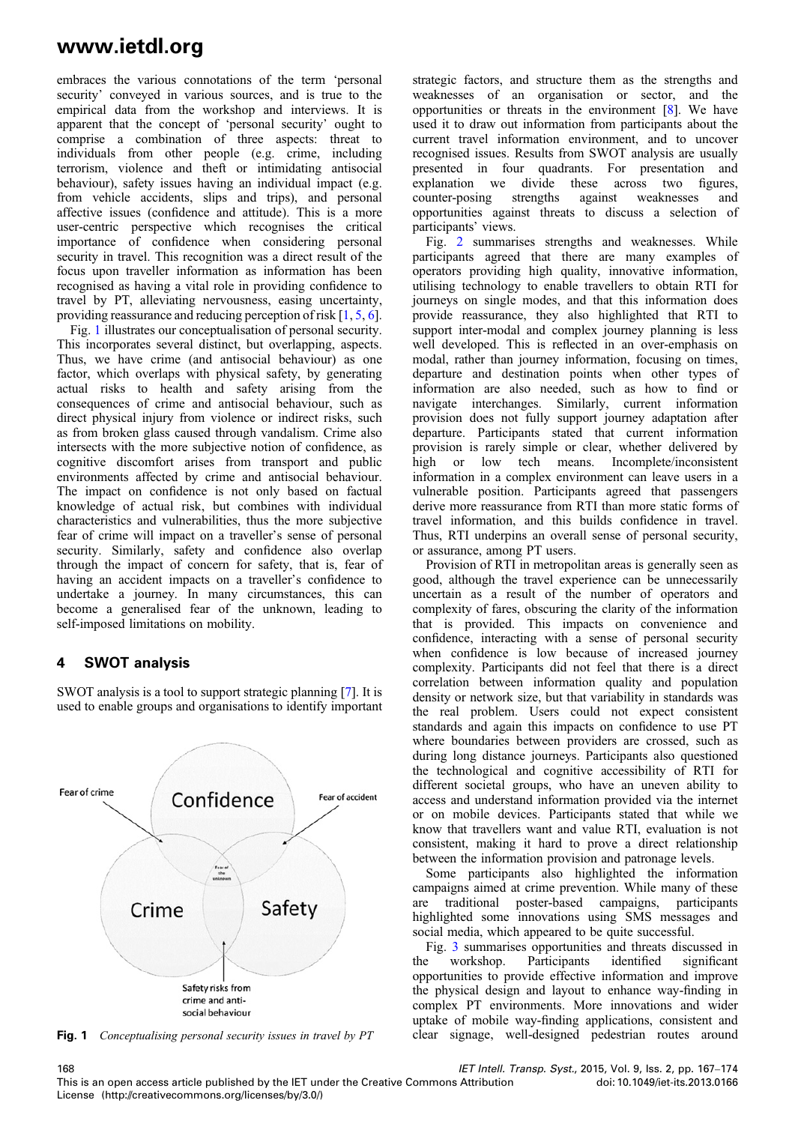embraces the various connotations of the term 'personal security' conveyed in various sources, and is true to the empirical data from the workshop and interviews. It is apparent that the concept of 'personal security' ought to comprise a combination of three aspects: threat to individuals from other people (e.g. crime, including terrorism, violence and theft or intimidating antisocial behaviour), safety issues having an individual impact (e.g. from vehicle accidents, slips and trips), and personal affective issues (confidence and attitude). This is a more user-centric perspective which recognises the critical importance of confidence when considering personal security in travel. This recognition was a direct result of the focus upon traveller information as information has been recognised as having a vital role in providing confidence to travel by PT, alleviating nervousness, easing uncertainty, providing reassurance and reducing perception of risk [[1,](#page-7-0) [5](#page-7-0), [6\]](#page-7-0).

Fig. 1 illustrates our conceptualisation of personal security. This incorporates several distinct, but overlapping, aspects. Thus, we have crime (and antisocial behaviour) as one factor, which overlaps with physical safety, by generating actual risks to health and safety arising from the consequences of crime and antisocial behaviour, such as direct physical injury from violence or indirect risks, such as from broken glass caused through vandalism. Crime also intersects with the more subjective notion of confidence, as cognitive discomfort arises from transport and public environments affected by crime and antisocial behaviour. The impact on confidence is not only based on factual knowledge of actual risk, but combines with individual characteristics and vulnerabilities, thus the more subjective fear of crime will impact on a traveller's sense of personal security. Similarly, safety and confidence also overlap through the impact of concern for safety, that is, fear of having an accident impacts on a traveller's confidence to undertake a journey. In many circumstances, this can become a generalised fear of the unknown, leading to self-imposed limitations on mobility.

## 4 SWOT analysis

SWOT analysis is a tool to support strategic planning [\[7](#page-7-0)]. It is used to enable groups and organisations to identify important



strategic factors, and structure them as the strengths and weaknesses of an organisation or sector, and the opportunities or threats in the environment [[8\]](#page-7-0). We have used it to draw out information from participants about the current travel information environment, and to uncover recognised issues. Results from SWOT analysis are usually presented in four quadrants. For presentation and explanation we divide these across two figures, counter-posing strengths against weaknesses and opportunities against threats to discuss a selection of participants' views.

Fig. [2](#page-2-0) summarises strengths and weaknesses. While participants agreed that there are many examples of operators providing high quality, innovative information, utilising technology to enable travellers to obtain RTI for journeys on single modes, and that this information does provide reassurance, they also highlighted that RTI to support inter-modal and complex journey planning is less well developed. This is reflected in an over-emphasis on modal, rather than journey information, focusing on times, departure and destination points when other types of information are also needed, such as how to find or navigate interchanges. Similarly, current information provision does not fully support journey adaptation after departure. Participants stated that current information provision is rarely simple or clear, whether delivered by high or low tech means. Incomplete/inconsistent information in a complex environment can leave users in a vulnerable position. Participants agreed that passengers derive more reassurance from RTI than more static forms of travel information, and this builds confidence in travel. Thus, RTI underpins an overall sense of personal security. or assurance, among PT users.

Provision of RTI in metropolitan areas is generally seen as good, although the travel experience can be unnecessarily uncertain as a result of the number of operators and complexity of fares, obscuring the clarity of the information that is provided. This impacts on convenience and confidence, interacting with a sense of personal security when confidence is low because of increased journey complexity. Participants did not feel that there is a direct correlation between information quality and population density or network size, but that variability in standards was the real problem. Users could not expect consistent standards and again this impacts on confidence to use PT where boundaries between providers are crossed, such as during long distance journeys. Participants also questioned the technological and cognitive accessibility of RTI for different societal groups, who have an uneven ability to access and understand information provided via the internet or on mobile devices. Participants stated that while we know that travellers want and value RTI, evaluation is not consistent, making it hard to prove a direct relationship between the information provision and patronage levels.

Some participants also highlighted the information campaigns aimed at crime prevention. While many of these are traditional poster-based campaigns, participants highlighted some innovations using SMS messages and social media, which appeared to be quite successful.

Fig. [3](#page-2-0) summarises opportunities and threats discussed in the workshop. Participants identified significant opportunities to provide effective information and improve the physical design and layout to enhance way-finding in complex PT environments. More innovations and wider uptake of mobile way-finding applications, consistent and Fig. 1 Conceptualising personal security issues in travel by PT clear signage, well-designed pedestrian routes around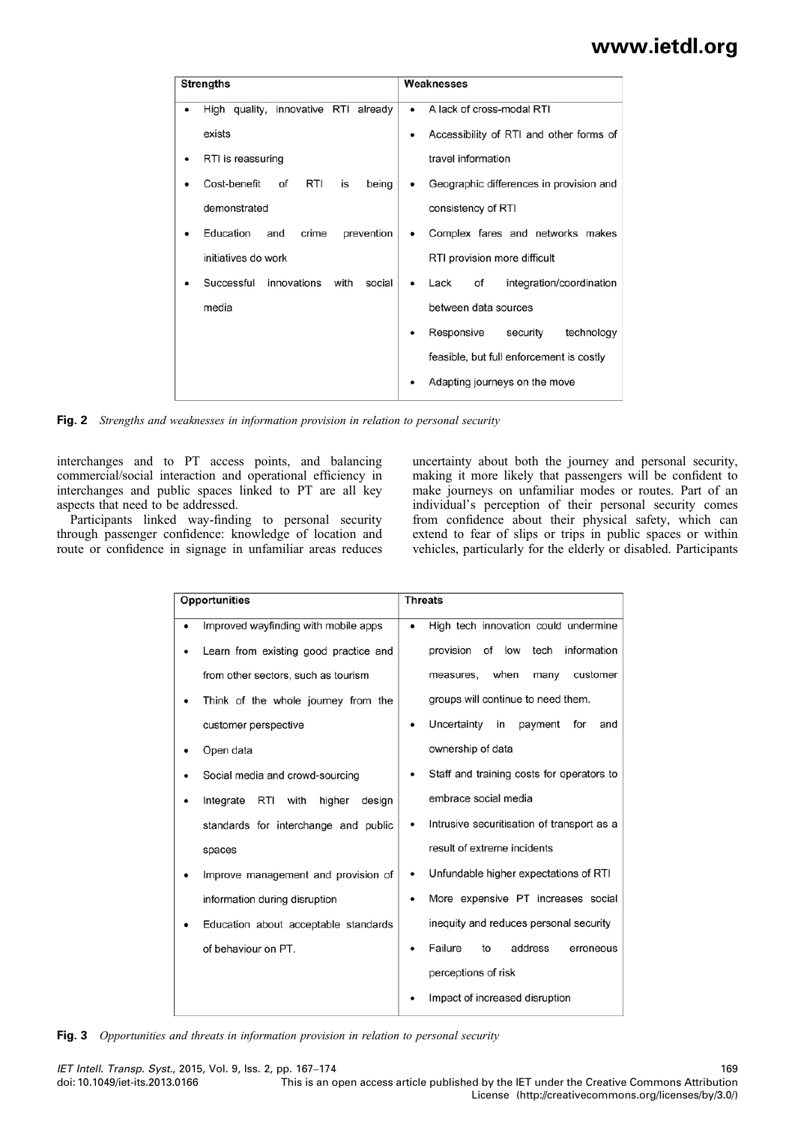<span id="page-2-0"></span>

| <b>Strengths</b>                                 | Weaknesses                                   |
|--------------------------------------------------|----------------------------------------------|
| High quality, innovative RTI<br>already<br>٠     | A lack of cross-modal RTI<br>$\bullet$       |
| exists                                           | Accessibility of RTI and other forms of<br>٠ |
| RTI is reassuring<br>٠                           | travel information                           |
| Cost-benefit<br>of<br>RTI<br>being<br>is         | Geographic differences in provision and<br>٠ |
| demonstrated                                     | consistency of RTI                           |
| Education<br>prevention<br>and<br>crime<br>٠     | Complex fares and networks makes             |
| initiatives do work                              | RTI provision more difficult                 |
| Successful<br>social<br>innovations<br>with<br>٠ | integration/coordination<br>Lack<br>of<br>٠  |
| media                                            | between data sources                         |
|                                                  | Responsive<br>technology<br>security<br>٠    |
|                                                  | feasible, but full enforcement is costly     |
|                                                  | Adapting journeys on the move<br>٠           |

Fig. 2 Strengths and weaknesses in information provision in relation to personal security

interchanges and to PT access points, and balancing commercial/social interaction and operational efficiency in interchanges and public spaces linked to PT are all key aspects that need to be addressed.

Participants linked way-finding to personal security through passenger confidence: knowledge of location and route or confidence in signage in unfamiliar areas reduces uncertainty about both the journey and personal security, making it more likely that passengers will be confident to make journeys on unfamiliar modes or routes. Part of an individual's perception of their personal security comes from confidence about their physical safety, which can extend to fear of slips or trips in public spaces or within vehicles, particularly for the elderly or disabled. Participants

| <b>Opportunities</b>                         | <b>Threats</b>                                |
|----------------------------------------------|-----------------------------------------------|
| Improved wayfinding with mobile apps         | High tech innovation could undermine          |
| Learn from existing good practice and<br>٠   | tech<br>information<br>provision<br>of<br>low |
| from other sectors, such as tourism          | when<br>customer<br>many<br>measures.         |
| Think of the whole journey from the<br>٠     | groups will continue to need them.            |
| customer perspective                         | Uncertainty<br>in<br>payment<br>for<br>and    |
| Open data<br>٠                               | ownership of data                             |
| Social media and crowd-sourcing              | Staff and training costs for operators to     |
| RTI<br>higher<br>Integrate<br>with<br>design | embrace social media                          |
| standards for interchange and public         | Intrusive securitisation of transport as a    |
| spaces                                       | result of extreme incidents                   |
| Improve management and provision of          | Unfundable higher expectations of RTI         |
| information during disruption                | More expensive PT increases social<br>٠       |
| Education about acceptable standards<br>٠    | inequity and reduces personal security        |
| of behaviour on PT.                          | Failure<br>address<br>to<br>erroneous         |
|                                              | perceptions of risk                           |
|                                              | Impact of increased disruption                |

Fig. 3 Opportunities and threats in information provision in relation to personal security

 $\overline{\phantom{a}}$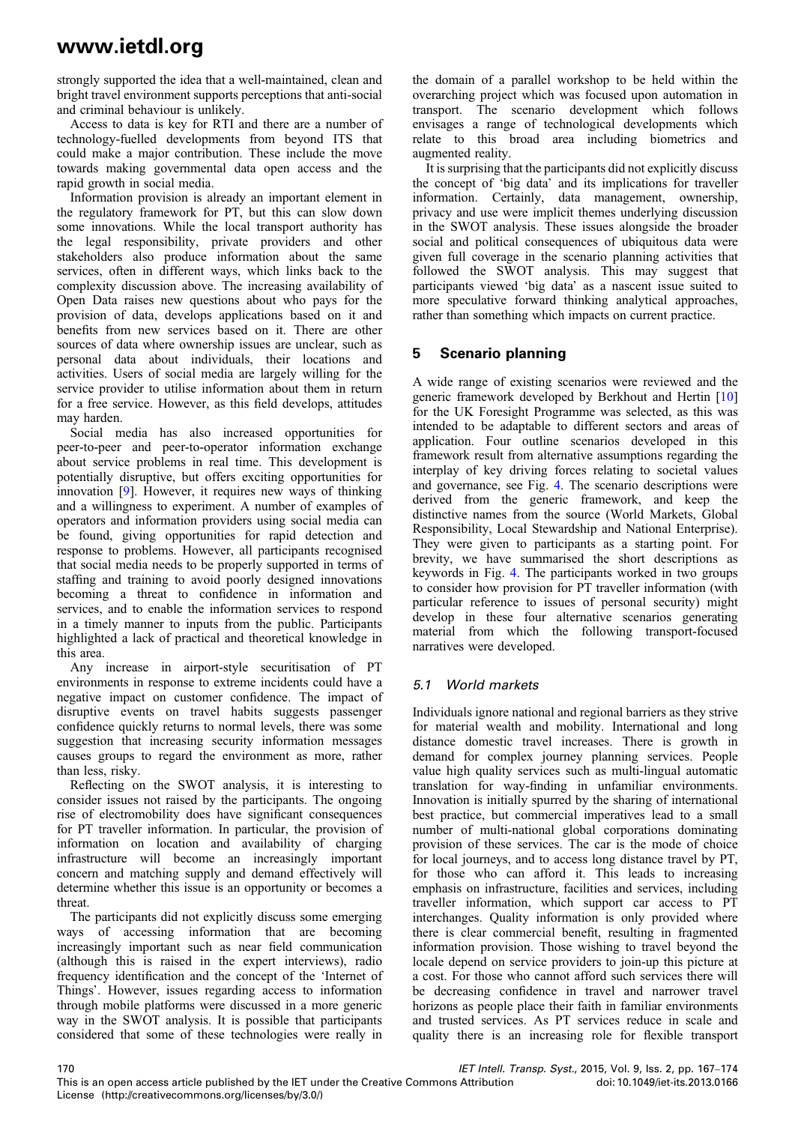strongly supported the idea that a well-maintained, clean and bright travel environment supports perceptions that anti-social and criminal behaviour is unlikely.

Access to data is key for RTI and there are a number of technology-fuelled developments from beyond ITS that could make a major contribution. These include the move towards making governmental data open access and the rapid growth in social media.

Information provision is already an important element in the regulatory framework for PT, but this can slow down some innovations. While the local transport authority has the legal responsibility, private providers and other stakeholders also produce information about the same services, often in different ways, which links back to the complexity discussion above. The increasing availability of Open Data raises new questions about who pays for the provision of data, develops applications based on it and benefits from new services based on it. There are other sources of data where ownership issues are unclear, such as personal data about individuals, their locations and activities. Users of social media are largely willing for the service provider to utilise information about them in return for a free service. However, as this field develops, attitudes may harden.

Social media has also increased opportunities for peer-to-peer and peer-to-operator information exchange about service problems in real time. This development is potentially disruptive, but offers exciting opportunities for innovation [\[9](#page-7-0)]. However, it requires new ways of thinking and a willingness to experiment. A number of examples of operators and information providers using social media can be found, giving opportunities for rapid detection and response to problems. However, all participants recognised that social media needs to be properly supported in terms of staffing and training to avoid poorly designed innovations becoming a threat to confidence in information and services, and to enable the information services to respond in a timely manner to inputs from the public. Participants highlighted a lack of practical and theoretical knowledge in this area.

Any increase in airport-style securitisation of PT environments in response to extreme incidents could have a negative impact on customer confidence. The impact of disruptive events on travel habits suggests passenger confidence quickly returns to normal levels, there was some suggestion that increasing security information messages causes groups to regard the environment as more, rather than less, risky.

Reflecting on the SWOT analysis, it is interesting to consider issues not raised by the participants. The ongoing rise of electromobility does have significant consequences for PT traveller information. In particular, the provision of information on location and availability of charging infrastructure will become an increasingly important concern and matching supply and demand effectively will determine whether this issue is an opportunity or becomes a threat.

The participants did not explicitly discuss some emerging ways of accessing information that are becoming increasingly important such as near field communication (although this is raised in the expert interviews), radio frequency identification and the concept of the 'Internet of Things'. However, issues regarding access to information through mobile platforms were discussed in a more generic way in the SWOT analysis. It is possible that participants considered that some of these technologies were really in

the domain of a parallel workshop to be held within the overarching project which was focused upon automation in transport. The scenario development which follows envisages a range of technological developments which relate to this broad area including biometrics and augmented reality.

It is surprising that the participants did not explicitly discuss the concept of 'big data' and its implications for traveller information. Certainly, data management, ownership, privacy and use were implicit themes underlying discussion in the SWOT analysis. These issues alongside the broader social and political consequences of ubiquitous data were given full coverage in the scenario planning activities that followed the SWOT analysis. This may suggest that participants viewed 'big data' as a nascent issue suited to more speculative forward thinking analytical approaches, rather than something which impacts on current practice.

### 5 Scenario planning

A wide range of existing scenarios were reviewed and the generic framework developed by Berkhout and Hertin [\[10\]](#page-7-0) for the UK Foresight Programme was selected, as this was intended to be adaptable to different sectors and areas of application. Four outline scenarios developed in this framework result from alternative assumptions regarding the interplay of key driving forces relating to societal values and governance, see Fig. [4.](#page-4-0) The scenario descriptions were derived from the generic framework, and keep the distinctive names from the source (World Markets, Global Responsibility, Local Stewardship and National Enterprise). They were given to participants as a starting point. For brevity, we have summarised the short descriptions as keywords in Fig. [4](#page-4-0). The participants worked in two groups to consider how provision for PT traveller information (with particular reference to issues of personal security) might develop in these four alternative scenarios generating material from which the following transport-focused narratives were developed.

### 5.1 World markets

Individuals ignore national and regional barriers as they strive for material wealth and mobility. International and long distance domestic travel increases. There is growth in demand for complex journey planning services. People value high quality services such as multi-lingual automatic translation for way-finding in unfamiliar environments. Innovation is initially spurred by the sharing of international best practice, but commercial imperatives lead to a small number of multi-national global corporations dominating provision of these services. The car is the mode of choice for local journeys, and to access long distance travel by PT, for those who can afford it. This leads to increasing emphasis on infrastructure, facilities and services, including traveller information, which support car access to PT interchanges. Quality information is only provided where there is clear commercial benefit, resulting in fragmented information provision. Those wishing to travel beyond the locale depend on service providers to join-up this picture at a cost. For those who cannot afford such services there will be decreasing confidence in travel and narrower travel horizons as people place their faith in familiar environments and trusted services. As PT services reduce in scale and quality there is an increasing role for flexible transport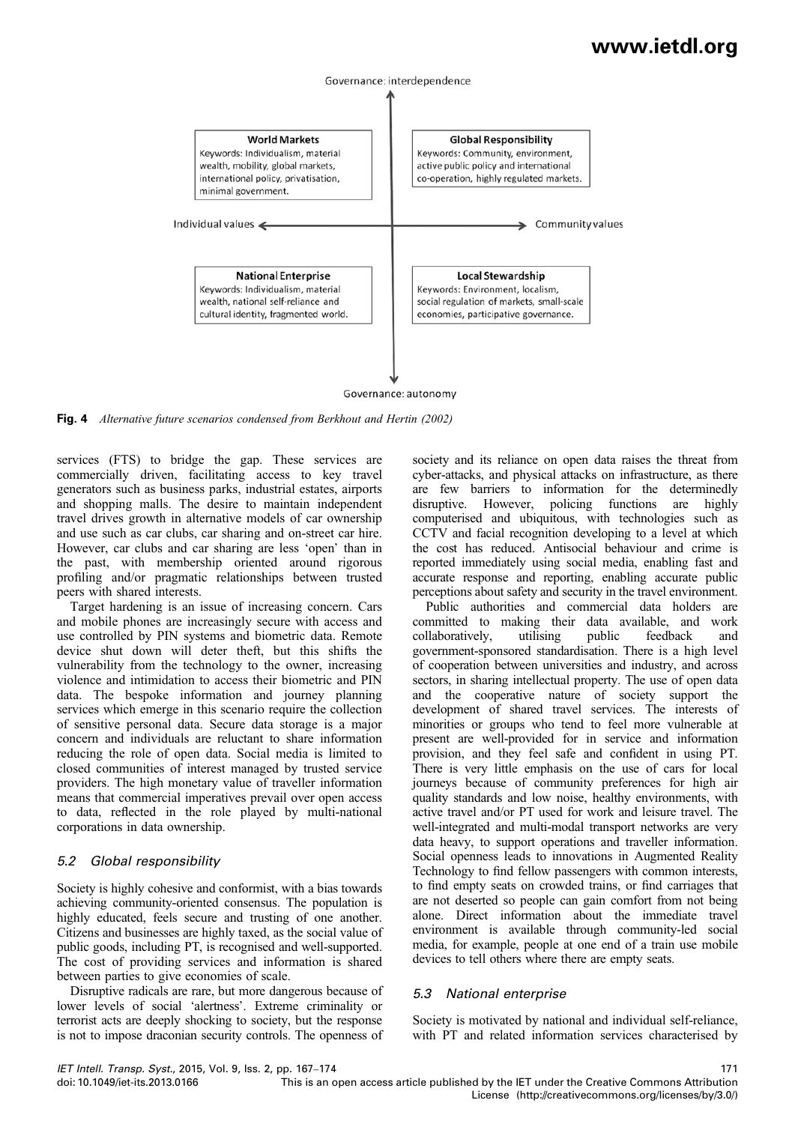<span id="page-4-0"></span>

Governance: autonomy

Fig. 4 Alternative future scenarios condensed from Berkhout and Hertin (2002)

services (FTS) to bridge the gap. These services are commercially driven, facilitating access to key travel generators such as business parks, industrial estates, airports and shopping malls. The desire to maintain independent travel drives growth in alternative models of car ownership and use such as car clubs, car sharing and on-street car hire. However, car clubs and car sharing are less 'open' than in the past, with membership oriented around rigorous profiling and/or pragmatic relationships between trusted peers with shared interests.

Target hardening is an issue of increasing concern. Cars and mobile phones are increasingly secure with access and use controlled by PIN systems and biometric data. Remote device shut down will deter theft, but this shifts the vulnerability from the technology to the owner, increasing violence and intimidation to access their biometric and PIN data. The bespoke information and journey planning services which emerge in this scenario require the collection of sensitive personal data. Secure data storage is a major concern and individuals are reluctant to share information reducing the role of open data. Social media is limited to closed communities of interest managed by trusted service providers. The high monetary value of traveller information means that commercial imperatives prevail over open access to data, reflected in the role played by multi-national corporations in data ownership.

#### 5.2 Global responsibility

Society is highly cohesive and conformist, with a bias towards achieving community-oriented consensus. The population is highly educated, feels secure and trusting of one another. Citizens and businesses are highly taxed, as the social value of public goods, including PT, is recognised and well-supported. The cost of providing services and information is shared between parties to give economies of scale.

Disruptive radicals are rare, but more dangerous because of lower levels of social 'alertness'. Extreme criminality or terrorist acts are deeply shocking to society, but the response is not to impose draconian security controls. The openness of

society and its reliance on open data raises the threat from cyber-attacks, and physical attacks on infrastructure, as there are few barriers to information for the determinedly disruptive. However, policing functions are highly computerised and ubiquitous, with technologies such as CCTV and facial recognition developing to a level at which the cost has reduced. Antisocial behaviour and crime is reported immediately using social media, enabling fast and accurate response and reporting, enabling accurate public perceptions about safety and security in the travel environment.

Public authorities and commercial data holders are committed to making their data available, and work collaboratively, utilising public feedback and government-sponsored standardisation. There is a high level of cooperation between universities and industry, and across sectors, in sharing intellectual property. The use of open data and the cooperative nature of society support the development of shared travel services. The interests of minorities or groups who tend to feel more vulnerable at present are well-provided for in service and information provision, and they feel safe and confident in using PT. There is very little emphasis on the use of cars for local journeys because of community preferences for high air quality standards and low noise, healthy environments, with active travel and/or PT used for work and leisure travel. The well-integrated and multi-modal transport networks are very data heavy, to support operations and traveller information. Social openness leads to innovations in Augmented Reality Technology to find fellow passengers with common interests, to find empty seats on crowded trains, or find carriages that are not deserted so people can gain comfort from not being alone. Direct information about the immediate travel environment is available through community-led social media, for example, people at one end of a train use mobile devices to tell others where there are empty seats.

#### 5.3 National enterprise

Society is motivated by national and individual self-reliance, with PT and related information services characterised by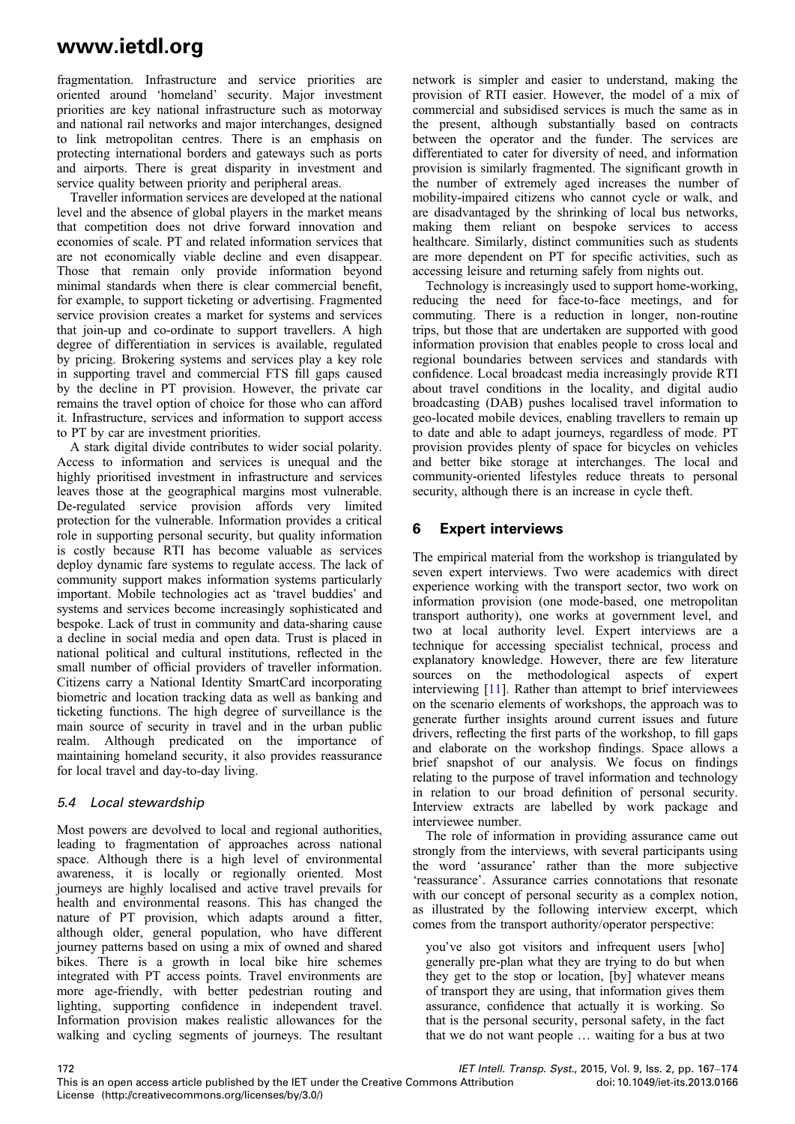fragmentation. Infrastructure and service priorities are oriented around 'homeland' security. Major investment priorities are key national infrastructure such as motorway and national rail networks and major interchanges, designed to link metropolitan centres. There is an emphasis on protecting international borders and gateways such as ports and airports. There is great disparity in investment and service quality between priority and peripheral areas.

Traveller information services are developed at the national level and the absence of global players in the market means that competition does not drive forward innovation and economies of scale. PT and related information services that are not economically viable decline and even disappear. Those that remain only provide information beyond minimal standards when there is clear commercial benefit, for example, to support ticketing or advertising. Fragmented service provision creates a market for systems and services that join-up and co-ordinate to support travellers. A high degree of differentiation in services is available, regulated by pricing. Brokering systems and services play a key role in supporting travel and commercial FTS fill gaps caused by the decline in PT provision. However, the private car remains the travel option of choice for those who can afford it. Infrastructure, services and information to support access to PT by car are investment priorities.

A stark digital divide contributes to wider social polarity. Access to information and services is unequal and the highly prioritised investment in infrastructure and services leaves those at the geographical margins most vulnerable. De-regulated service provision affords very limited protection for the vulnerable. Information provides a critical role in supporting personal security, but quality information is costly because RTI has become valuable as services deploy dynamic fare systems to regulate access. The lack of community support makes information systems particularly important. Mobile technologies act as 'travel buddies' and systems and services become increasingly sophisticated and bespoke. Lack of trust in community and data-sharing cause a decline in social media and open data. Trust is placed in national political and cultural institutions, reflected in the small number of official providers of traveller information. Citizens carry a National Identity SmartCard incorporating biometric and location tracking data as well as banking and ticketing functions. The high degree of surveillance is the main source of security in travel and in the urban public realm. Although predicated on the importance of maintaining homeland security, it also provides reassurance for local travel and day-to-day living.

### 5.4 Local stewardship

Most powers are devolved to local and regional authorities, leading to fragmentation of approaches across national space. Although there is a high level of environmental awareness, it is locally or regionally oriented. Most journeys are highly localised and active travel prevails for health and environmental reasons. This has changed the nature of PT provision, which adapts around a fitter, although older, general population, who have different journey patterns based on using a mix of owned and shared bikes. There is a growth in local bike hire schemes integrated with PT access points. Travel environments are more age-friendly, with better pedestrian routing and lighting, supporting confidence in independent travel. Information provision makes realistic allowances for the walking and cycling segments of journeys. The resultant

network is simpler and easier to understand, making the provision of RTI easier. However, the model of a mix of commercial and subsidised services is much the same as in the present, although substantially based on contracts between the operator and the funder. The services are differentiated to cater for diversity of need, and information provision is similarly fragmented. The significant growth in the number of extremely aged increases the number of mobility-impaired citizens who cannot cycle or walk, and are disadvantaged by the shrinking of local bus networks, making them reliant on bespoke services to access healthcare. Similarly, distinct communities such as students are more dependent on PT for specific activities, such as accessing leisure and returning safely from nights out.

Technology is increasingly used to support home-working, reducing the need for face-to-face meetings, and for commuting. There is a reduction in longer, non-routine trips, but those that are undertaken are supported with good information provision that enables people to cross local and regional boundaries between services and standards with confidence. Local broadcast media increasingly provide RTI about travel conditions in the locality, and digital audio broadcasting (DAB) pushes localised travel information to geo-located mobile devices, enabling travellers to remain up to date and able to adapt journeys, regardless of mode. PT provision provides plenty of space for bicycles on vehicles and better bike storage at interchanges. The local and community-oriented lifestyles reduce threats to personal security, although there is an increase in cycle theft.

## 6 Expert interviews

The empirical material from the workshop is triangulated by seven expert interviews. Two were academics with direct experience working with the transport sector, two work on information provision (one mode-based, one metropolitan transport authority), one works at government level, and two at local authority level. Expert interviews are a technique for accessing specialist technical, process and explanatory knowledge. However, there are few literature sources on the methodological aspects of expert interviewing [[11\]](#page-7-0). Rather than attempt to brief interviewees on the scenario elements of workshops, the approach was to generate further insights around current issues and future drivers, reflecting the first parts of the workshop, to fill gaps and elaborate on the workshop findings. Space allows a brief snapshot of our analysis. We focus on findings relating to the purpose of travel information and technology in relation to our broad definition of personal security. Interview extracts are labelled by work package and interviewee number.

The role of information in providing assurance came out strongly from the interviews, with several participants using the word 'assurance' rather than the more subjective 'reassurance'. Assurance carries connotations that resonate with our concept of personal security as a complex notion, as illustrated by the following interview excerpt, which comes from the transport authority/operator perspective:

you've also got visitors and infrequent users [who] generally pre-plan what they are trying to do but when they get to the stop or location, [by] whatever means of transport they are using, that information gives them assurance, confidence that actually it is working. So that is the personal security, personal safety, in the fact that we do not want people … waiting for a bus at two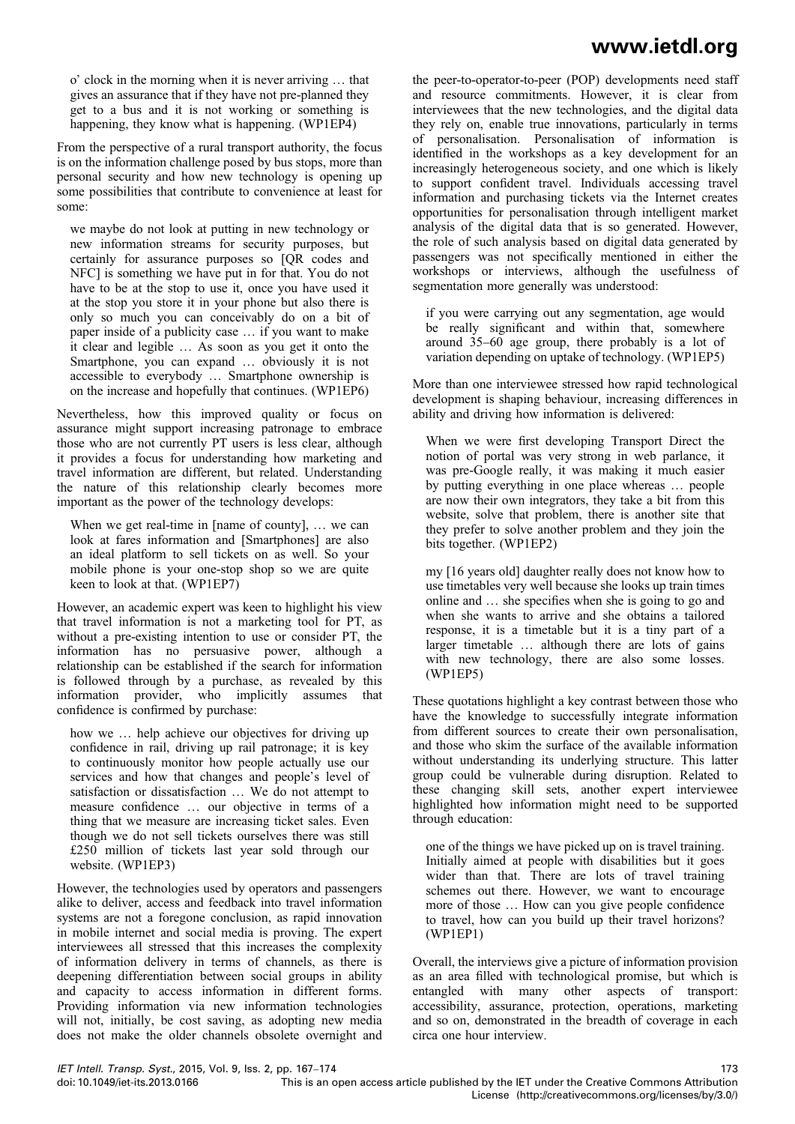o' clock in the morning when it is never arriving … that gives an assurance that if they have not pre-planned they get to a bus and it is not working or something is happening, they know what is happening. (WP1EP4)

From the perspective of a rural transport authority, the focus is on the information challenge posed by bus stops, more than personal security and how new technology is opening up some possibilities that contribute to convenience at least for some:

we maybe do not look at putting in new technology or new information streams for security purposes, but certainly for assurance purposes so [QR codes and NFC] is something we have put in for that. You do not have to be at the stop to use it, once you have used it at the stop you store it in your phone but also there is only so much you can conceivably do on a bit of paper inside of a publicity case … if you want to make it clear and legible … As soon as you get it onto the Smartphone, you can expand … obviously it is not accessible to everybody … Smartphone ownership is on the increase and hopefully that continues. (WP1EP6)

Nevertheless, how this improved quality or focus on assurance might support increasing patronage to embrace those who are not currently PT users is less clear, although it provides a focus for understanding how marketing and travel information are different, but related. Understanding the nature of this relationship clearly becomes more important as the power of the technology develops:

When we get real-time in [name of county], ... we can look at fares information and [Smartphones] are also an ideal platform to sell tickets on as well. So your mobile phone is your one-stop shop so we are quite keen to look at that. (WP1EP7)

However, an academic expert was keen to highlight his view that travel information is not a marketing tool for PT, as without a pre-existing intention to use or consider PT, the information has no persuasive power, although a relationship can be established if the search for information is followed through by a purchase, as revealed by this information provider, who implicitly assumes that confidence is confirmed by purchase:

how we … help achieve our objectives for driving up confidence in rail, driving up rail patronage; it is key to continuously monitor how people actually use our services and how that changes and people's level of satisfaction or dissatisfaction … We do not attempt to measure confidence … our objective in terms of a thing that we measure are increasing ticket sales. Even though we do not sell tickets ourselves there was still £250 million of tickets last year sold through our website. (WP1EP3)

However, the technologies used by operators and passengers alike to deliver, access and feedback into travel information systems are not a foregone conclusion, as rapid innovation in mobile internet and social media is proving. The expert interviewees all stressed that this increases the complexity of information delivery in terms of channels, as there is deepening differentiation between social groups in ability and capacity to access information in different forms. Providing information via new information technologies will not, initially, be cost saving, as adopting new media does not make the older channels obsolete overnight and

the peer-to-operator-to-peer (POP) developments need staff and resource commitments. However, it is clear from interviewees that the new technologies, and the digital data they rely on, enable true innovations, particularly in terms of personalisation. Personalisation of information is identified in the workshops as a key development for an increasingly heterogeneous society, and one which is likely to support confident travel. Individuals accessing travel information and purchasing tickets via the Internet creates opportunities for personalisation through intelligent market analysis of the digital data that is so generated. However, the role of such analysis based on digital data generated by passengers was not specifically mentioned in either the workshops or interviews, although the usefulness of segmentation more generally was understood:

if you were carrying out any segmentation, age would be really significant and within that, somewhere around 35–60 age group, there probably is a lot of variation depending on uptake of technology. (WP1EP5)

More than one interviewee stressed how rapid technological development is shaping behaviour, increasing differences in ability and driving how information is delivered:

When we were first developing Transport Direct the notion of portal was very strong in web parlance, it was pre-Google really, it was making it much easier by putting everything in one place whereas … people are now their own integrators, they take a bit from this website, solve that problem, there is another site that they prefer to solve another problem and they join the bits together. (WP1EP2)

my [16 years old] daughter really does not know how to use timetables very well because she looks up train times online and … she specifies when she is going to go and when she wants to arrive and she obtains a tailored response, it is a timetable but it is a tiny part of a larger timetable … although there are lots of gains with new technology, there are also some losses. (WP1EP5)

These quotations highlight a key contrast between those who have the knowledge to successfully integrate information from different sources to create their own personalisation, and those who skim the surface of the available information without understanding its underlying structure. This latter group could be vulnerable during disruption. Related to these changing skill sets, another expert interviewee highlighted how information might need to be supported through education:

one of the things we have picked up on is travel training. Initially aimed at people with disabilities but it goes wider than that. There are lots of travel training schemes out there. However, we want to encourage more of those … How can you give people confidence to travel, how can you build up their travel horizons? (WP1EP1)

Overall, the interviews give a picture of information provision as an area filled with technological promise, but which is entangled with many other aspects of transport: accessibility, assurance, protection, operations, marketing and so on, demonstrated in the breadth of coverage in each circa one hour interview.